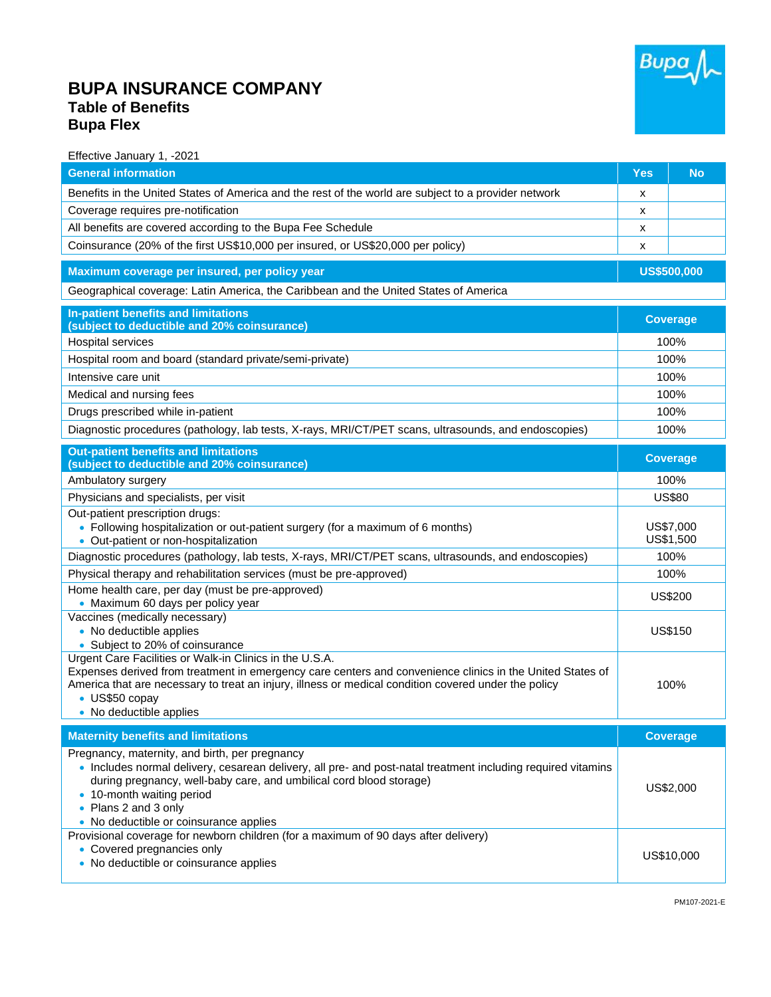## **BUPA INSURANCE COMPANY Table of Benefits Bupa Flex**



Effective January 1, -2021

| <b>General information</b>                                                                                                                                                                                                                                                                                                           | Yes                    | <b>No</b>       |  |
|--------------------------------------------------------------------------------------------------------------------------------------------------------------------------------------------------------------------------------------------------------------------------------------------------------------------------------------|------------------------|-----------------|--|
| Benefits in the United States of America and the rest of the world are subject to a provider network                                                                                                                                                                                                                                 | х                      |                 |  |
| Coverage requires pre-notification                                                                                                                                                                                                                                                                                                   | х                      |                 |  |
| All benefits are covered according to the Bupa Fee Schedule                                                                                                                                                                                                                                                                          | X                      |                 |  |
| Coinsurance (20% of the first US\$10,000 per insured, or US\$20,000 per policy)                                                                                                                                                                                                                                                      | х                      |                 |  |
| Maximum coverage per insured, per policy year                                                                                                                                                                                                                                                                                        | <b>US\$500,000</b>     |                 |  |
| Geographical coverage: Latin America, the Caribbean and the United States of America                                                                                                                                                                                                                                                 |                        |                 |  |
| In-patient benefits and limitations<br>(subject to deductible and 20% coinsurance)                                                                                                                                                                                                                                                   | <b>Coverage</b>        |                 |  |
| Hospital services                                                                                                                                                                                                                                                                                                                    | 100%                   |                 |  |
| Hospital room and board (standard private/semi-private)                                                                                                                                                                                                                                                                              | 100%                   |                 |  |
| Intensive care unit                                                                                                                                                                                                                                                                                                                  | 100%                   |                 |  |
| Medical and nursing fees                                                                                                                                                                                                                                                                                                             | 100%                   |                 |  |
| Drugs prescribed while in-patient                                                                                                                                                                                                                                                                                                    | 100%                   |                 |  |
| Diagnostic procedures (pathology, lab tests, X-rays, MRI/CT/PET scans, ultrasounds, and endoscopies)                                                                                                                                                                                                                                 | 100%                   |                 |  |
| <b>Out-patient benefits and limitations</b><br>(subject to deductible and 20% coinsurance)                                                                                                                                                                                                                                           | <b>Coverage</b>        |                 |  |
| Ambulatory surgery                                                                                                                                                                                                                                                                                                                   | 100%                   |                 |  |
| Physicians and specialists, per visit                                                                                                                                                                                                                                                                                                | <b>US\$80</b>          |                 |  |
| Out-patient prescription drugs:                                                                                                                                                                                                                                                                                                      |                        |                 |  |
| • Following hospitalization or out-patient surgery (for a maximum of 6 months)<br>• Out-patient or non-hospitalization                                                                                                                                                                                                               | US\$7,000<br>US\$1,500 |                 |  |
| Diagnostic procedures (pathology, lab tests, X-rays, MRI/CT/PET scans, ultrasounds, and endoscopies)                                                                                                                                                                                                                                 | 100%                   |                 |  |
| Physical therapy and rehabilitation services (must be pre-approved)                                                                                                                                                                                                                                                                  | 100%                   |                 |  |
| Home health care, per day (must be pre-approved)                                                                                                                                                                                                                                                                                     | <b>US\$200</b>         |                 |  |
| • Maximum 60 days per policy year<br>Vaccines (medically necessary)                                                                                                                                                                                                                                                                  |                        |                 |  |
| • No deductible applies                                                                                                                                                                                                                                                                                                              | <b>US\$150</b>         |                 |  |
| • Subject to 20% of coinsurance                                                                                                                                                                                                                                                                                                      |                        |                 |  |
| Urgent Care Facilities or Walk-in Clinics in the U.S.A.<br>Expenses derived from treatment in emergency care centers and convenience clinics in the United States of<br>America that are necessary to treat an injury, illness or medical condition covered under the policy<br>• US\$50 copay<br>• No deductible applies            |                        | 100%            |  |
| <b>Maternity benefits and limitations</b>                                                                                                                                                                                                                                                                                            |                        | <b>Coverage</b> |  |
| Pregnancy, maternity, and birth, per pregnancy<br>. Includes normal delivery, cesarean delivery, all pre- and post-natal treatment including required vitamins<br>during pregnancy, well-baby care, and umbilical cord blood storage)<br>• 10-month waiting period<br>• Plans 2 and 3 only<br>• No deductible or coinsurance applies | US\$2,000              |                 |  |
| Provisional coverage for newborn children (for a maximum of 90 days after delivery)<br>• Covered pregnancies only<br>• No deductible or coinsurance applies                                                                                                                                                                          | US\$10,000             |                 |  |